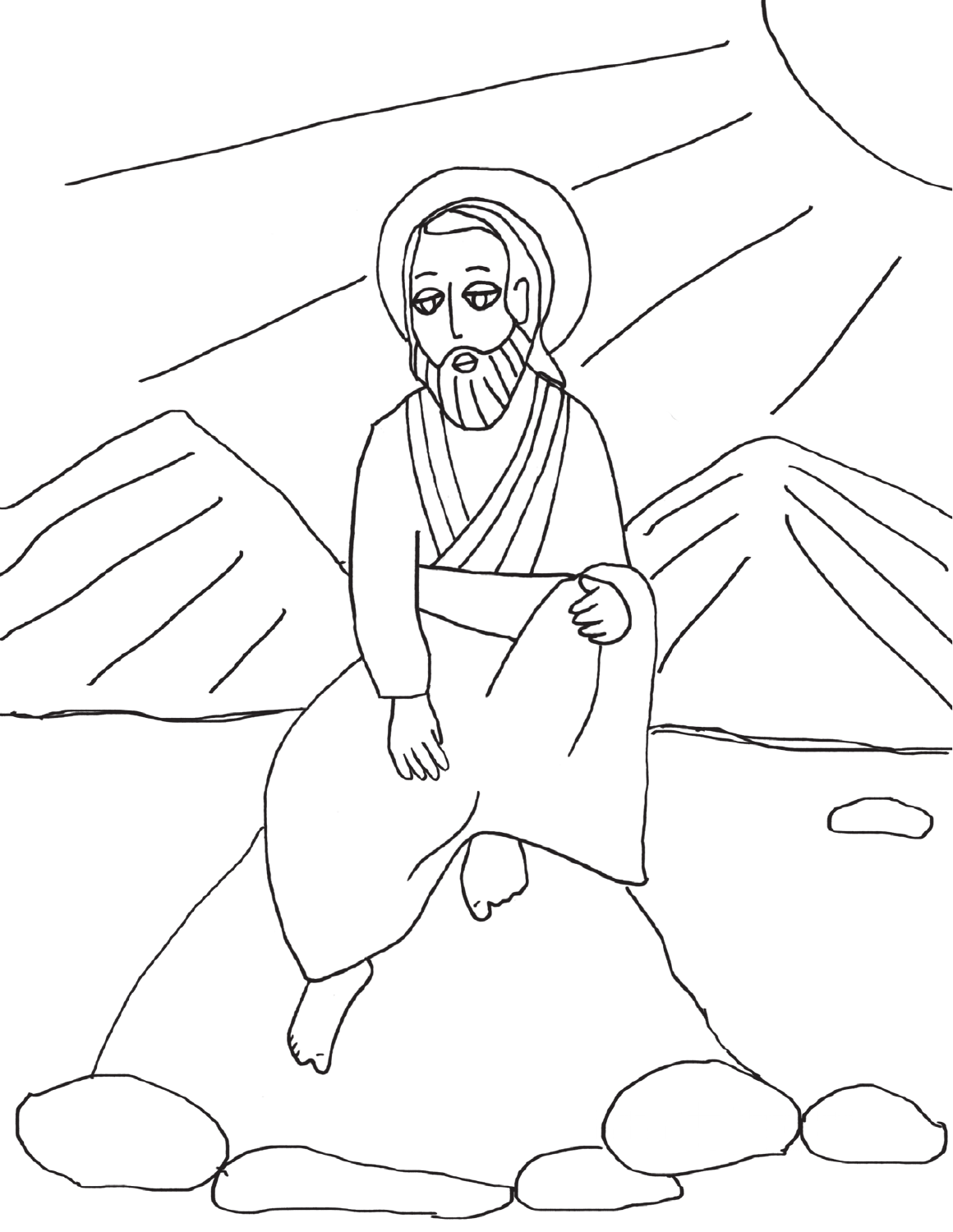